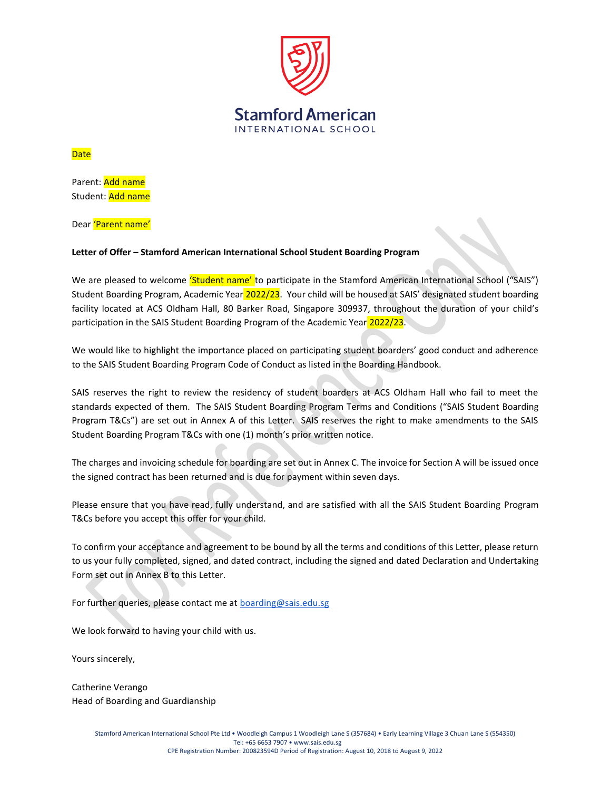

## **Date**

Parent: Add name Student: Add name

Dear 'Parent name'

## **Letter of Offer – Stamford American International School Student Boarding Program**

We are pleased to welcome 'Student name' to participate in the Stamford American International School ("SAIS") Student Boarding Program, Academic Year 2022/23. Your child will be housed at SAIS' designated student boarding facility located at ACS Oldham Hall, 80 Barker Road, Singapore 309937, throughout the duration of your child's participation in the SAIS Student Boarding Program of the Academic Year 2022/23.

We would like to highlight the importance placed on participating student boarders' good conduct and adherence to the SAIS Student Boarding Program Code of Conduct as listed in the Boarding Handbook.

SAIS reserves the right to review the residency of student boarders at ACS Oldham Hall who fail to meet the standards expected of them. The SAIS Student Boarding Program Terms and Conditions ("SAIS Student Boarding Program T&Cs") are set out in Annex A of this Letter. SAIS reserves the right to make amendments to the SAIS Student Boarding Program T&Cs with one (1) month's prior written notice.

The charges and invoicing schedule for boarding are set out in Annex C. The invoice for Section A will be issued once the signed contract has been returned and is due for payment within seven days.

Please ensure that you have read, fully understand, and are satisfied with all the SAIS Student Boarding Program T&Cs before you accept this offer for your child.

To confirm your acceptance and agreement to be bound by all the terms and conditions of this Letter, please return to us your fully completed, signed, and dated contract, including the signed and dated Declaration and Undertaking Form set out in Annex B to this Letter.

For further queries, please contact me at **boarding@sais.edu.sg** 

We look forward to having your child with us.

Yours sincerely,

Catherine Verango Head of Boarding and Guardianship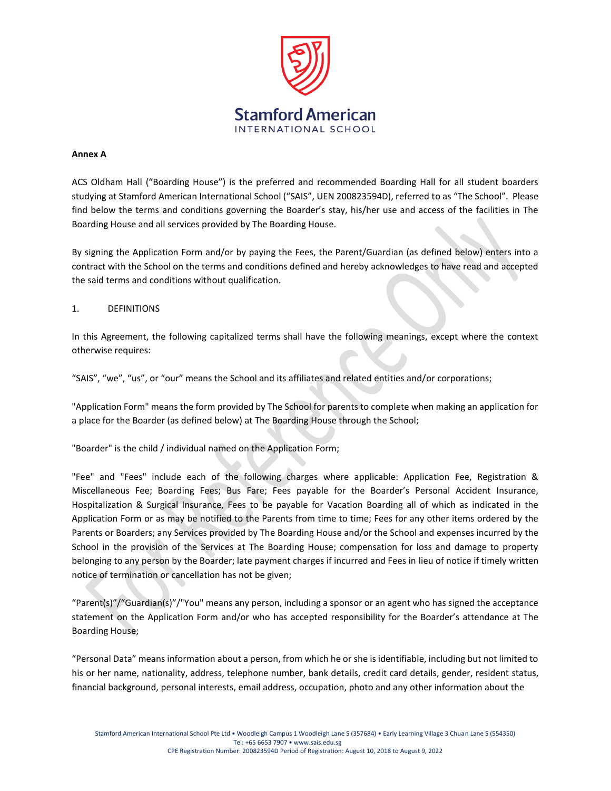

#### **Annex A**

ACS Oldham Hall ("Boarding House") is the preferred and recommended Boarding Hall for all student boarders studying at Stamford American International School ("SAIS", UEN 200823594D), referred to as "The School". Please find below the terms and conditions governing the Boarder's stay, his/her use and access of the facilities in The Boarding House and all services provided by The Boarding House.

By signing the Application Form and/or by paying the Fees, the Parent/Guardian (as defined below) enters into a contract with the School on the terms and conditions defined and hereby acknowledges to have read and accepted the said terms and conditions without qualification.

## 1. DEFINITIONS

In this Agreement, the following capitalized terms shall have the following meanings, except where the context otherwise requires:

"SAIS", "we", "us", or "our" means the School and its affiliates and related entities and/or corporations;

"Application Form" means the form provided by The School for parents to complete when making an application for a place for the Boarder (as defined below) at The Boarding House through the School;

"Boarder" is the child / individual named on the Application Form;

"Fee" and "Fees" include each of the following charges where applicable: Application Fee, Registration & Miscellaneous Fee; Boarding Fees; Bus Fare; Fees payable for the Boarder's Personal Accident Insurance, Hospitalization & Surgical Insurance, Fees to be payable for Vacation Boarding all of which as indicated in the Application Form or as may be notified to the Parents from time to time; Fees for any other items ordered by the Parents or Boarders; any Services provided by The Boarding House and/or the School and expenses incurred by the School in the provision of the Services at The Boarding House; compensation for loss and damage to property belonging to any person by the Boarder; late payment charges if incurred and Fees in lieu of notice if timely written notice of termination or cancellation has not be given;

"Parent(s)"/"Guardian(s)"/"You" means any person, including a sponsor or an agent who has signed the acceptance statement on the Application Form and/or who has accepted responsibility for the Boarder's attendance at The Boarding House;

"Personal Data" means information about a person, from which he or she is identifiable, including but not limited to his or her name, nationality, address, telephone number, bank details, credit card details, gender, resident status, financial background, personal interests, email address, occupation, photo and any other information about the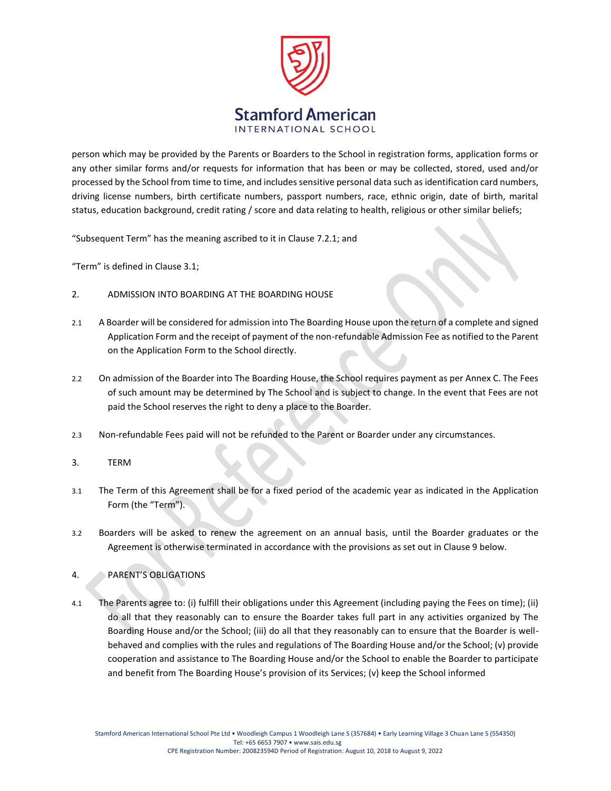

person which may be provided by the Parents or Boarders to the School in registration forms, application forms or any other similar forms and/or requests for information that has been or may be collected, stored, used and/or processed by the School from time to time, and includes sensitive personal data such as identification card numbers, driving license numbers, birth certificate numbers, passport numbers, race, ethnic origin, date of birth, marital status, education background, credit rating / score and data relating to health, religious or other similar beliefs;

"Subsequent Term" has the meaning ascribed to it in Clause 7.2.1; and

"Term" is defined in Clause 3.1;

- 2. ADMISSION INTO BOARDING AT THE BOARDING HOUSE
- 2.1 A Boarder will be considered for admission into The Boarding House upon the return of a complete and signed Application Form and the receipt of payment of the non-refundable Admission Fee as notified to the Parent on the Application Form to the School directly.
- 2.2 On admission of the Boarder into The Boarding House, the School requires payment as per Annex C. The Fees of such amount may be determined by The School and is subject to change. In the event that Fees are not paid the School reserves the right to deny a place to the Boarder.
- 2.3 Non-refundable Fees paid will not be refunded to the Parent or Boarder under any circumstances.
- 3. TERM
- 3.1 The Term of this Agreement shall be for a fixed period of the academic year as indicated in the Application Form (the "Term").
- 3.2 Boarders will be asked to renew the agreement on an annual basis, until the Boarder graduates or the Agreement is otherwise terminated in accordance with the provisions as set out in Clause 9 below.

# 4. PARENT'S OBLIGATIONS

4.1 The Parents agree to: (i) fulfill their obligations under this Agreement (including paying the Fees on time); (ii) do all that they reasonably can to ensure the Boarder takes full part in any activities organized by The Boarding House and/or the School; (iii) do all that they reasonably can to ensure that the Boarder is wellbehaved and complies with the rules and regulations of The Boarding House and/or the School; (v) provide cooperation and assistance to The Boarding House and/or the School to enable the Boarder to participate and benefit from The Boarding House's provision of its Services; (v) keep the School informed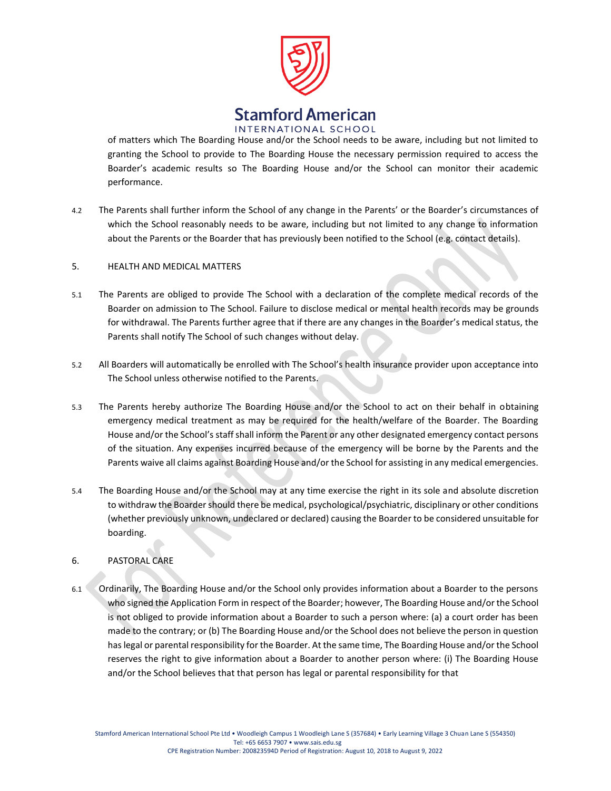

of matters which The Boarding House and/or the School needs to be aware, including but not limited to granting the School to provide to The Boarding House the necessary permission required to access the Boarder's academic results so The Boarding House and/or the School can monitor their academic performance.

4.2 The Parents shall further inform the School of any change in the Parents' or the Boarder's circumstances of which the School reasonably needs to be aware, including but not limited to any change to information about the Parents or the Boarder that has previously been notified to the School (e.g. contact details).

#### 5. HEALTH AND MEDICAL MATTERS

- 5.1 The Parents are obliged to provide The School with a declaration of the complete medical records of the Boarder on admission to The School. Failure to disclose medical or mental health records may be grounds for withdrawal. The Parents further agree that if there are any changes in the Boarder's medical status, the Parents shall notify The School of such changes without delay.
- 5.2 All Boarders will automatically be enrolled with The School's health insurance provider upon acceptance into The School unless otherwise notified to the Parents.
- 5.3 The Parents hereby authorize The Boarding House and/or the School to act on their behalf in obtaining emergency medical treatment as may be required for the health/welfare of the Boarder. The Boarding House and/or the School's staff shall inform the Parent or any other designated emergency contact persons of the situation. Any expenses incurred because of the emergency will be borne by the Parents and the Parents waive all claims against Boarding House and/or the School for assisting in any medical emergencies.
- 5.4 The Boarding House and/or the School may at any time exercise the right in its sole and absolute discretion to withdraw the Boarder should there be medical, psychological/psychiatric, disciplinary or other conditions (whether previously unknown, undeclared or declared) causing the Boarder to be considered unsuitable for boarding.

## 6. PASTORAL CARE

6.1 Ordinarily, The Boarding House and/or the School only provides information about a Boarder to the persons who signed the Application Form in respect of the Boarder; however, The Boarding House and/or the School is not obliged to provide information about a Boarder to such a person where: (a) a court order has been made to the contrary; or (b) The Boarding House and/or the School does not believe the person in question has legal or parental responsibility for the Boarder. At the same time, The Boarding House and/or the School reserves the right to give information about a Boarder to another person where: (i) The Boarding House and/or the School believes that that person has legal or parental responsibility for that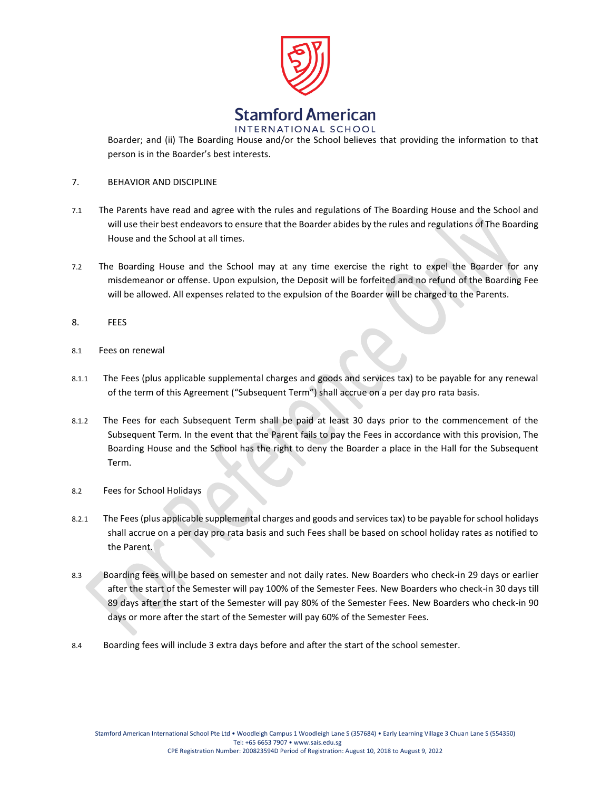

INTERNATIONAL SCHOOL

Boarder; and (ii) The Boarding House and/or the School believes that providing the information to that person is in the Boarder's best interests.

- 7. BEHAVIOR AND DISCIPLINE
- 7.1 The Parents have read and agree with the rules and regulations of The Boarding House and the School and will use their best endeavors to ensure that the Boarder abides by the rules and regulations of The Boarding House and the School at all times.
- 7.2 The Boarding House and the School may at any time exercise the right to expel the Boarder for any misdemeanor or offense. Upon expulsion, the Deposit will be forfeited and no refund of the Boarding Fee will be allowed. All expenses related to the expulsion of the Boarder will be charged to the Parents.
- 8. FEES
- 8.1 Fees on renewal
- 8.1.1 The Fees (plus applicable supplemental charges and goods and services tax) to be payable for any renewal of the term of this Agreement ("Subsequent Term") shall accrue on a per day pro rata basis.
- 8.1.2 The Fees for each Subsequent Term shall be paid at least 30 days prior to the commencement of the Subsequent Term. In the event that the Parent fails to pay the Fees in accordance with this provision, The Boarding House and the School has the right to deny the Boarder a place in the Hall for the Subsequent Term.
- 8.2 Fees for School Holidays
- 8.2.1 The Fees (plus applicable supplemental charges and goods and services tax) to be payable for school holidays shall accrue on a per day pro rata basis and such Fees shall be based on school holiday rates as notified to the Parent.
- 8.3 Boarding fees will be based on semester and not daily rates. New Boarders who check-in 29 days or earlier after the start of the Semester will pay 100% of the Semester Fees. New Boarders who check-in 30 days till 89 days after the start of the Semester will pay 80% of the Semester Fees. New Boarders who check-in 90 days or more after the start of the Semester will pay 60% of the Semester Fees.
- 8.4 Boarding fees will include 3 extra days before and after the start of the school semester.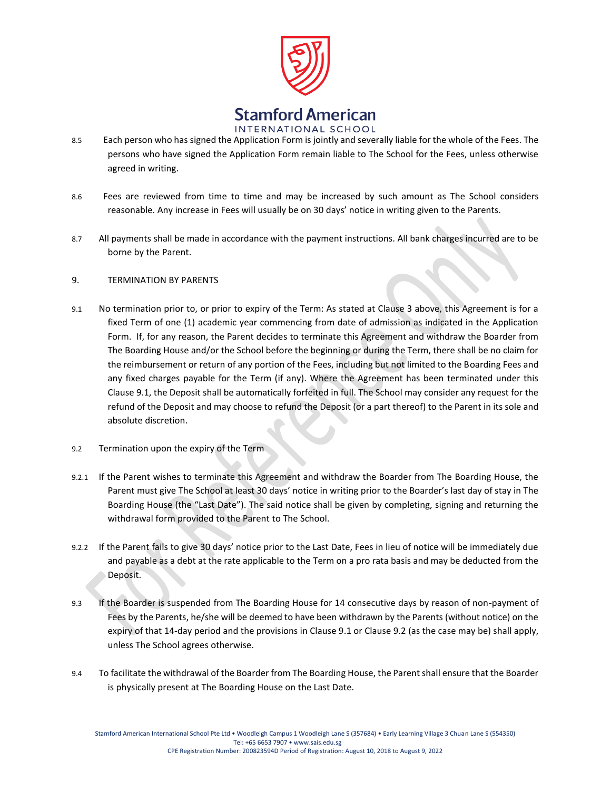

- 8.5 Each person who has signed the Application Form is jointly and severally liable for the whole of the Fees. The persons who have signed the Application Form remain liable to The School for the Fees, unless otherwise agreed in writing.
- 8.6 Fees are reviewed from time to time and may be increased by such amount as The School considers reasonable. Any increase in Fees will usually be on 30 days' notice in writing given to the Parents.
- 8.7 All payments shall be made in accordance with the payment instructions. All bank charges incurred are to be borne by the Parent.

#### 9. TERMINATION BY PARENTS

- 9.1 No termination prior to, or prior to expiry of the Term: As stated at Clause 3 above, this Agreement is for a fixed Term of one (1) academic year commencing from date of admission as indicated in the Application Form. If, for any reason, the Parent decides to terminate this Agreement and withdraw the Boarder from The Boarding House and/or the School before the beginning or during the Term, there shall be no claim for the reimbursement or return of any portion of the Fees, including but not limited to the Boarding Fees and any fixed charges payable for the Term (if any). Where the Agreement has been terminated under this Clause 9.1, the Deposit shall be automatically forfeited in full. The School may consider any request for the refund of the Deposit and may choose to refund the Deposit (or a part thereof) to the Parent in its sole and absolute discretion.
- 9.2 Termination upon the expiry of the Term
- 9.2.1 If the Parent wishes to terminate this Agreement and withdraw the Boarder from The Boarding House, the Parent must give The School at least 30 days' notice in writing prior to the Boarder's last day of stay in The Boarding House (the "Last Date"). The said notice shall be given by completing, signing and returning the withdrawal form provided to the Parent to The School.
- 9.2.2 If the Parent fails to give 30 days' notice prior to the Last Date, Fees in lieu of notice will be immediately due and payable as a debt at the rate applicable to the Term on a pro rata basis and may be deducted from the Deposit.
- 9.3 If the Boarder is suspended from The Boarding House for 14 consecutive days by reason of non-payment of Fees by the Parents, he/she will be deemed to have been withdrawn by the Parents (without notice) on the expiry of that 14-day period and the provisions in Clause 9.1 or Clause 9.2 (as the case may be) shall apply, unless The School agrees otherwise.
- 9.4 To facilitate the withdrawal of the Boarder from The Boarding House, the Parent shall ensure that the Boarder is physically present at The Boarding House on the Last Date.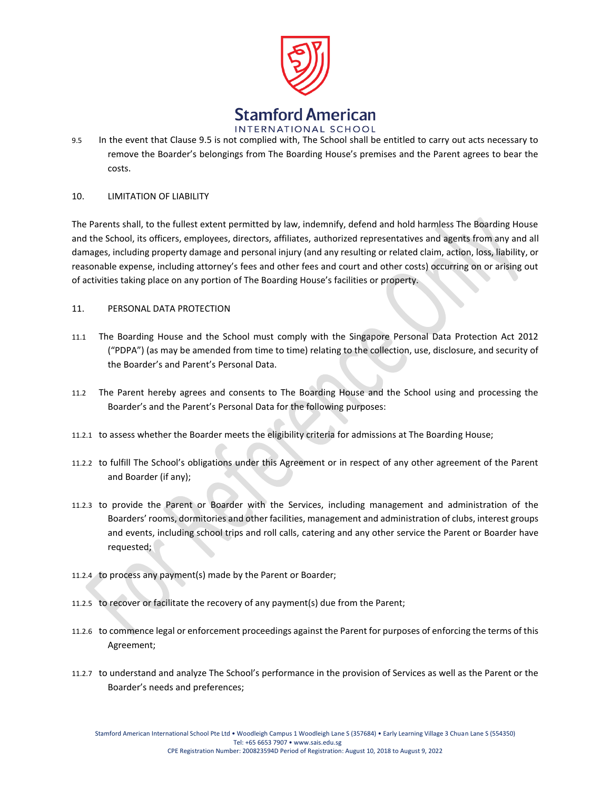

9.5 In the event that Clause 9.5 is not complied with, The School shall be entitled to carry out acts necessary to remove the Boarder's belongings from The Boarding House's premises and the Parent agrees to bear the costs.

## 10. LIMITATION OF LIABILITY

The Parents shall, to the fullest extent permitted by law, indemnify, defend and hold harmless The Boarding House and the School, its officers, employees, directors, affiliates, authorized representatives and agents from any and all damages, including property damage and personal injury (and any resulting or related claim, action, loss, liability, or reasonable expense, including attorney's fees and other fees and court and other costs) occurring on or arising out of activities taking place on any portion of The Boarding House's facilities or property.

#### 11. PERSONAL DATA PROTECTION

- 11.1 The Boarding House and the School must comply with the Singapore Personal Data Protection Act 2012 ("PDPA") (as may be amended from time to time) relating to the collection, use, disclosure, and security of the Boarder's and Parent's Personal Data.
- 11.2 The Parent hereby agrees and consents to The Boarding House and the School using and processing the Boarder's and the Parent's Personal Data for the following purposes:
- 11.2.1 to assess whether the Boarder meets the eligibility criteria for admissions at The Boarding House;
- 11.2.2 to fulfill The School's obligations under this Agreement or in respect of any other agreement of the Parent and Boarder (if any);
- 11.2.3 to provide the Parent or Boarder with the Services, including management and administration of the Boarders' rooms, dormitories and other facilities, management and administration of clubs, interest groups and events, including school trips and roll calls, catering and any other service the Parent or Boarder have requested;
- 11.2.4 to process any payment(s) made by the Parent or Boarder;
- 11.2.5 to recover or facilitate the recovery of any payment(s) due from the Parent;
- 11.2.6 to commence legal or enforcement proceedings against the Parent for purposes of enforcing the terms of this Agreement;
- 11.2.7 to understand and analyze The School's performance in the provision of Services as well as the Parent or the Boarder's needs and preferences;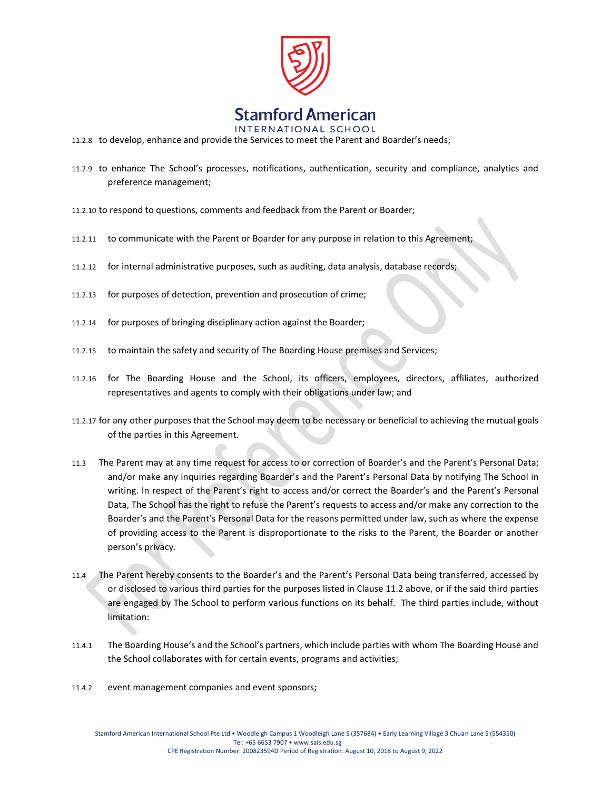

INTERNATIONAL SCHOOL

- 11.2.8 to develop, enhance and provide the Services to meet the Parent and Boarder's needs;
- 11.2.9 to enhance The School's processes, notifications, authentication, security and compliance, analytics and preference management;
- 11.2.10 to respond to questions, comments and feedback from the Parent or Boarder;
- 11.2.11 to communicate with the Parent or Boarder for any purpose in relation to this Agreement;
- 11.2.12 for internal administrative purposes, such as auditing, data analysis, database records;
- 11.2.13 for purposes of detection, prevention and prosecution of crime;
- 11.2.14 for purposes of bringing disciplinary action against the Boarder;
- 11.2.15 to maintain the safety and security of The Boarding House premises and Services;
- 11.2.16 for The Boarding House and the School, its officers, employees, directors, affiliates, authorized representatives and agents to comply with their obligations under law; and
- 11.2.17 for any other purposes that the School may deem to be necessary or beneficial to achieving the mutual goals of the parties in this Agreement.
- 11.3 The Parent may at any time request for access to or correction of Boarder's and the Parent's Personal Data; and/or make any inquiries regarding Boarder's and the Parent's Personal Data by notifying The School in writing. In respect of the Parent's right to access and/or correct the Boarder's and the Parent's Personal Data, The School has the right to refuse the Parent's requests to access and/or make any correction to the Boarder's and the Parent's Personal Data for the reasons permitted under law, such as where the expense of providing access to the Parent is disproportionate to the risks to the Parent, the Boarder or another person's privacy.
- 11.4 The Parent hereby consents to the Boarder's and the Parent's Personal Data being transferred, accessed by or disclosed to various third parties for the purposes listed in Clause 11.2 above, or if the said third parties are engaged by The School to perform various functions on its behalf. The third parties include, without limitation:
- 11.4.1 The Boarding House's and the School's partners, which include parties with whom The Boarding House and the School collaborates with for certain events, programs and activities;
- 11.4.2 event management companies and event sponsors;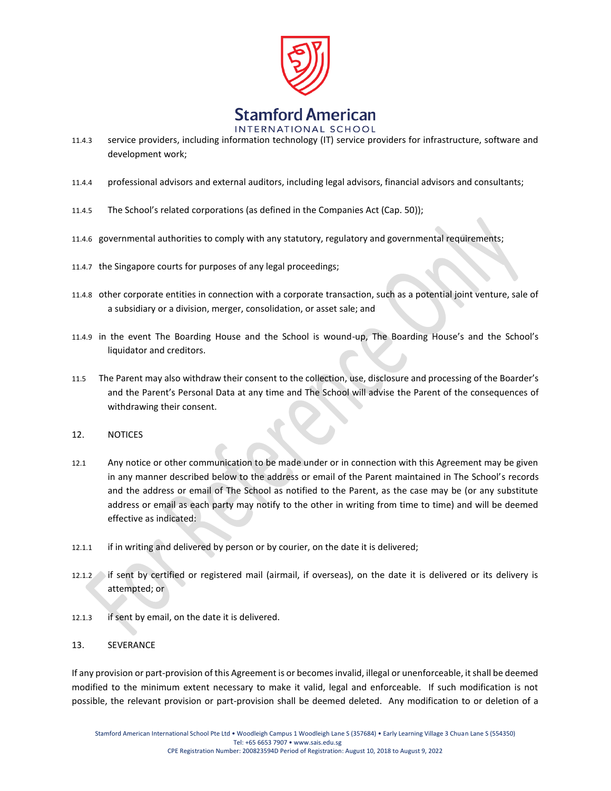

- 11.4.3 service providers, including information technology (IT) service providers for infrastructure, software and development work;
- 11.4.4 professional advisors and external auditors, including legal advisors, financial advisors and consultants;
- 11.4.5 The School's related corporations (as defined in the Companies Act (Cap. 50));
- 11.4.6 governmental authorities to comply with any statutory, regulatory and governmental requirements;
- 11.4.7 the Singapore courts for purposes of any legal proceedings;
- 11.4.8 other corporate entities in connection with a corporate transaction, such as a potential joint venture, sale of a subsidiary or a division, merger, consolidation, or asset sale; and
- 11.4.9 in the event The Boarding House and the School is wound-up, The Boarding House's and the School's liquidator and creditors.
- 11.5 The Parent may also withdraw their consent to the collection, use, disclosure and processing of the Boarder's and the Parent's Personal Data at any time and The School will advise the Parent of the consequences of withdrawing their consent.
- 12. NOTICES
- 12.1 Any notice or other communication to be made under or in connection with this Agreement may be given in any manner described below to the address or email of the Parent maintained in The School's records and the address or email of The School as notified to the Parent, as the case may be (or any substitute address or email as each party may notify to the other in writing from time to time) and will be deemed effective as indicated:
- 12.1.1 if in writing and delivered by person or by courier, on the date it is delivered;
- 12.1.2 if sent by certified or registered mail (airmail, if overseas), on the date it is delivered or its delivery is attempted; or
- 12.1.3 if sent by email, on the date it is delivered.
- 13. SEVERANCE

If any provision or part-provision of this Agreement is or becomes invalid, illegal or unenforceable, it shall be deemed modified to the minimum extent necessary to make it valid, legal and enforceable. If such modification is not possible, the relevant provision or part-provision shall be deemed deleted. Any modification to or deletion of a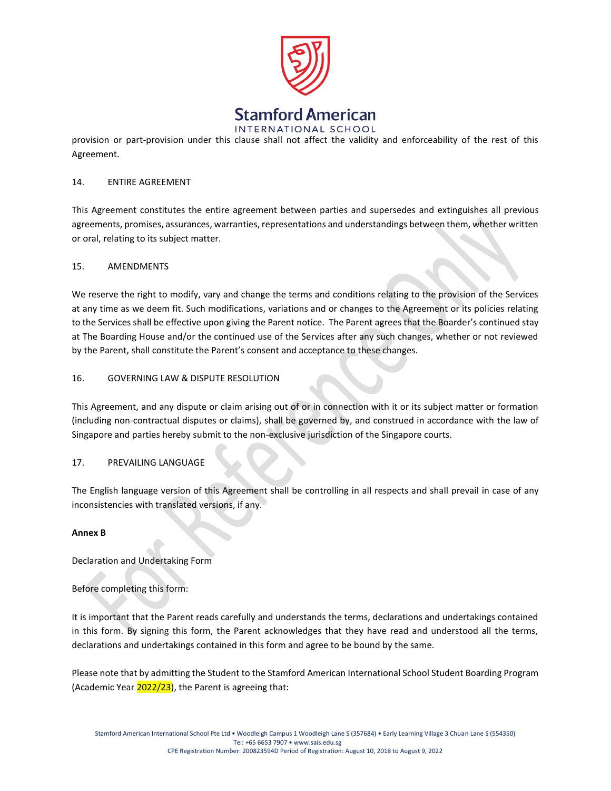

provision or part-provision under this clause shall not affect the validity and enforceability of the rest of this Agreement.

#### 14. ENTIRE AGREEMENT

This Agreement constitutes the entire agreement between parties and supersedes and extinguishes all previous agreements, promises, assurances, warranties, representations and understandings between them, whether written or oral, relating to its subject matter.

## 15. AMENDMENTS

We reserve the right to modify, vary and change the terms and conditions relating to the provision of the Services at any time as we deem fit. Such modifications, variations and or changes to the Agreement or its policies relating to the Services shall be effective upon giving the Parent notice. The Parent agrees that the Boarder's continued stay at The Boarding House and/or the continued use of the Services after any such changes, whether or not reviewed by the Parent, shall constitute the Parent's consent and acceptance to these changes.

#### 16. GOVERNING LAW & DISPUTE RESOLUTION

This Agreement, and any dispute or claim arising out of or in connection with it or its subject matter or formation (including non-contractual disputes or claims), shall be governed by, and construed in accordance with the law of Singapore and parties hereby submit to the non-exclusive jurisdiction of the Singapore courts.

## 17. PREVAILING LANGUAGE

The English language version of this Agreement shall be controlling in all respects and shall prevail in case of any inconsistencies with translated versions, if any.

#### **Annex B**

Declaration and Undertaking Form

Before completing this form:

It is important that the Parent reads carefully and understands the terms, declarations and undertakings contained in this form. By signing this form, the Parent acknowledges that they have read and understood all the terms, declarations and undertakings contained in this form and agree to be bound by the same.

Please note that by admitting the Student to the Stamford American International School Student Boarding Program (Academic Year  $2022/23$ ), the Parent is agreeing that: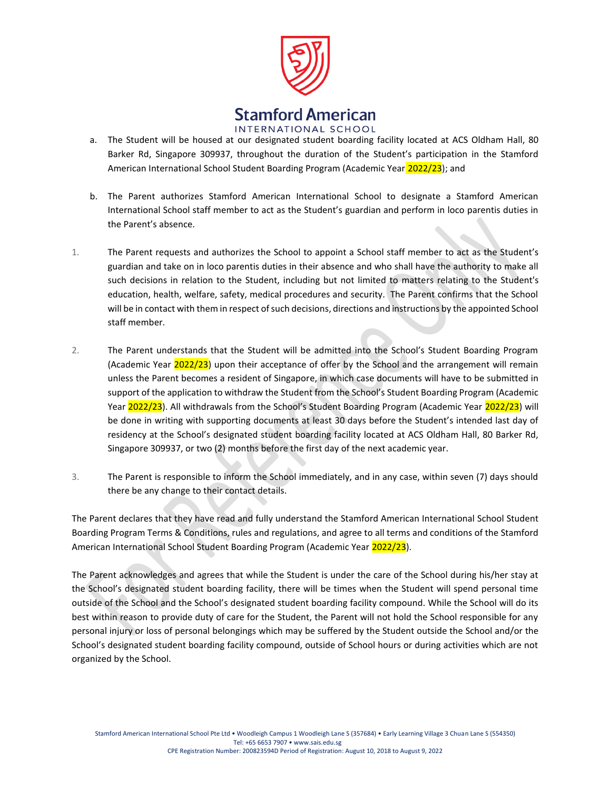

- a. The Student will be housed at our designated student boarding facility located at ACS Oldham Hall, 80 Barker Rd, Singapore 309937, throughout the duration of the Student's participation in the Stamford American International School Student Boarding Program (Academic Year 2022/23); and
- b. The Parent authorizes Stamford American International School to designate a Stamford American International School staff member to act as the Student's guardian and perform in loco parentis duties in the Parent's absence.
- 1. The Parent requests and authorizes the School to appoint a School staff member to act as the Student's guardian and take on in loco parentis duties in their absence and who shall have the authority to make all such decisions in relation to the Student, including but not limited to matters relating to the Student's education, health, welfare, safety, medical procedures and security. The Parent confirms that the School will be in contact with them in respect of such decisions, directions and instructions by the appointed School staff member.
- 2. The Parent understands that the Student will be admitted into the School's Student Boarding Program (Academic Year 2022/23) upon their acceptance of offer by the School and the arrangement will remain unless the Parent becomes a resident of Singapore, in which case documents will have to be submitted in support of the application to withdraw the Student from the School's Student Boarding Program (Academic Year 2022/23). All withdrawals from the School's Student Boarding Program (Academic Year 2022/23) will be done in writing with supporting documents at least 30 days before the Student's intended last day of residency at the School's designated student boarding facility located at ACS Oldham Hall, 80 Barker Rd, Singapore 309937, or two (2) months before the first day of the next academic year.
- 3. The Parent is responsible to inform the School immediately, and in any case, within seven (7) days should there be any change to their contact details.

The Parent declares that they have read and fully understand the Stamford American International School Student Boarding Program Terms & Conditions, rules and regulations, and agree to all terms and conditions of the Stamford American International School Student Boarding Program (Academic Year 2022/23).

The Parent acknowledges and agrees that while the Student is under the care of the School during his/her stay at the School's designated student boarding facility, there will be times when the Student will spend personal time outside of the School and the School's designated student boarding facility compound. While the School will do its best within reason to provide duty of care for the Student, the Parent will not hold the School responsible for any personal injury or loss of personal belongings which may be suffered by the Student outside the School and/or the School's designated student boarding facility compound, outside of School hours or during activities which are not organized by the School.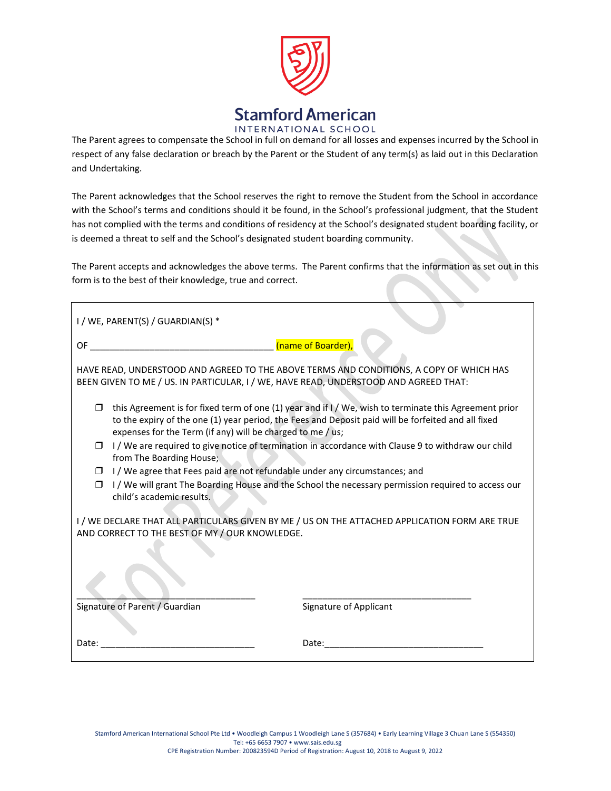

The Parent agrees to compensate the School in full on demand for all losses and expenses incurred by the School in respect of any false declaration or breach by the Parent or the Student of any term(s) as laid out in this Declaration and Undertaking.

The Parent acknowledges that the School reserves the right to remove the Student from the School in accordance with the School's terms and conditions should it be found, in the School's professional judgment, that the Student has not complied with the terms and conditions of residency at the School's designated student boarding facility, or is deemed a threat to self and the School's designated student boarding community.

The Parent accepts and acknowledges the above terms. The Parent confirms that the information as set out in this form is to the best of their knowledge, true and correct.

| I / WE, PARENT(S) / GUARDIAN(S) *                                                                                                                                                                                                                                           |                        |  |  |  |
|-----------------------------------------------------------------------------------------------------------------------------------------------------------------------------------------------------------------------------------------------------------------------------|------------------------|--|--|--|
| OF a<br><u> 1980 - Jan James, mars et al. (</u> † 1920)                                                                                                                                                                                                                     | (name of Boarder),     |  |  |  |
| HAVE READ, UNDERSTOOD AND AGREED TO THE ABOVE TERMS AND CONDITIONS, A COPY OF WHICH HAS<br>BEEN GIVEN TO ME / US. IN PARTICULAR, I / WE, HAVE READ, UNDERSTOOD AND AGREED THAT:                                                                                             |                        |  |  |  |
| this Agreement is for fixed term of one (1) year and if I / We, wish to terminate this Agreement prior<br>to the expiry of the one (1) year period, the Fees and Deposit paid will be forfeited and all fixed<br>expenses for the Term (if any) will be charged to me / us; |                        |  |  |  |
| I/We are required to give notice of termination in accordance with Clause 9 to withdraw our child<br>⊓<br>from The Boarding House;                                                                                                                                          |                        |  |  |  |
| I/We agree that Fees paid are not refundable under any circumstances; and<br>⊓                                                                                                                                                                                              |                        |  |  |  |
| I / We will grant The Boarding House and the School the necessary permission required to access our<br>child's academic results.                                                                                                                                            |                        |  |  |  |
| I / WE DECLARE THAT ALL PARTICULARS GIVEN BY ME / US ON THE ATTACHED APPLICATION FORM ARE TRUE<br>AND CORRECT TO THE BEST OF MY / OUR KNOWLEDGE.                                                                                                                            |                        |  |  |  |
|                                                                                                                                                                                                                                                                             |                        |  |  |  |
| Signature of Parent / Guardian                                                                                                                                                                                                                                              | Signature of Applicant |  |  |  |
| Date:                                                                                                                                                                                                                                                                       | Date:                  |  |  |  |
|                                                                                                                                                                                                                                                                             |                        |  |  |  |